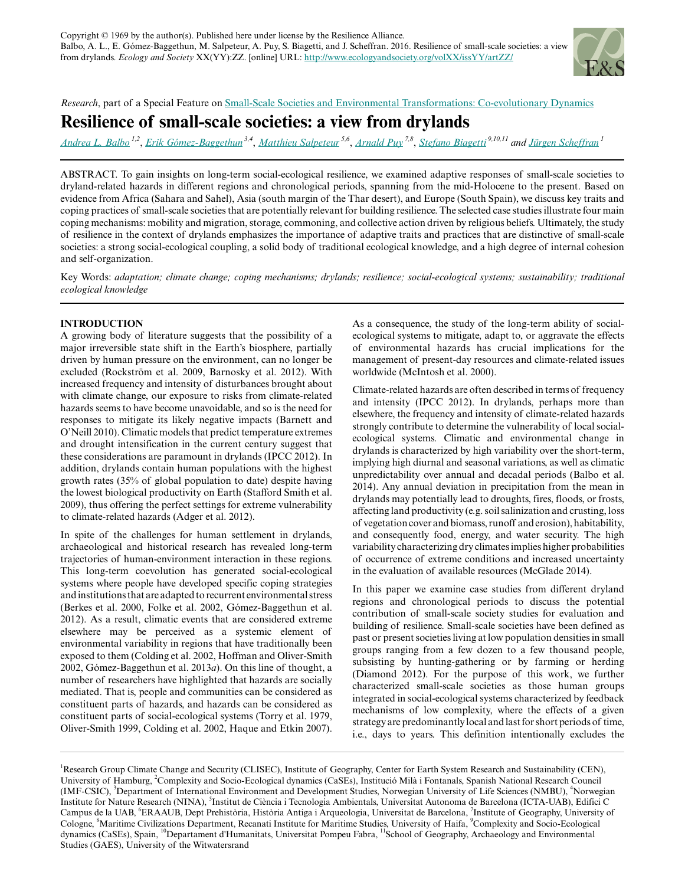

*Research*, part of a Special Feature on [Small-Scale Societies and Environmental Transformations: Co-evolutionary Dynamics](http://www.ecologyandsociety.org/viewissue.php?sf=113)

# **Resilience of small-scale societies: a view from drylands**

[Andrea L. Balbo](mailto:balbo@cantab.net)<sup>1,2</sup>, [Erik Gómez-Baggethun](mailto:erik.gomez@nina.no)<sup>3,4</sup>, [Matthieu Salpeteur](mailto:matthieusalpeteur@hotmail.com)<sup>5,6</sup>, [Arnald Puy](mailto:arnald.puy@gmail.com)<sup>7,8</sup>, [Stefano Biagetti](mailto:stefano.biagetti@upf.edu)<sup>9,10,11</sup> and [Jürgen Scheffran](mailto:juergen.scheffran@uni-hamburg.de) <sup>1</sup>

ABSTRACT. To gain insights on long-term social-ecological resilience, we examined adaptive responses of small-scale societies to dryland-related hazards in different regions and chronological periods, spanning from the mid-Holocene to the present. Based on evidence from Africa (Sahara and Sahel), Asia (south margin of the Thar desert), and Europe (South Spain), we discuss key traits and coping practices of small-scale societies that are potentially relevant for building resilience. The selected case studies illustrate four main coping mechanisms: mobility and migration, storage, commoning, and collective action driven by religious beliefs. Ultimately, the study of resilience in the context of drylands emphasizes the importance of adaptive traits and practices that are distinctive of small-scale societies: a strong social-ecological coupling, a solid body of traditional ecological knowledge, and a high degree of internal cohesion and self-organization.

Key Words: *adaptation; climate change; coping mechanisms; drylands; resilience; social-ecological systems; sustainability; traditional ecological knowledge*

## **INTRODUCTION**

A growing body of literature suggests that the possibility of a major irreversible state shift in the Earth's biosphere, partially driven by human pressure on the environment, can no longer be excluded (Rockström et al. 2009, Barnosky et al. 2012). With increased frequency and intensity of disturbances brought about with climate change, our exposure to risks from climate-related hazards seems to have become unavoidable, and so is the need for responses to mitigate its likely negative impacts (Barnett and O'Neill 2010). Climatic models that predict temperature extremes and drought intensification in the current century suggest that these considerations are paramount in drylands (IPCC 2012). In addition, drylands contain human populations with the highest growth rates (35% of global population to date) despite having the lowest biological productivity on Earth (Stafford Smith et al. 2009), thus offering the perfect settings for extreme vulnerability to climate-related hazards (Adger et al. 2012).

In spite of the challenges for human settlement in drylands, archaeological and historical research has revealed long-term trajectories of human-environment interaction in these regions. This long-term coevolution has generated social-ecological systems where people have developed specific coping strategies and institutions that are adapted to recurrent environmental stress (Berkes et al. 2000, Folke et al. 2002, Gómez-Baggethun et al. 2012). As a result, climatic events that are considered extreme elsewhere may be perceived as a systemic element of environmental variability in regions that have traditionally been exposed to them (Colding et al. 2002, Hoffman and Oliver-Smith 2002, Gómez-Baggethun et al. 2013*a*). On this line of thought, a number of researchers have highlighted that hazards are socially mediated. That is, people and communities can be considered as constituent parts of hazards, and hazards can be considered as constituent parts of social-ecological systems (Torry et al. 1979, Oliver-Smith 1999, Colding et al. 2002, Haque and Etkin 2007).

As a consequence, the study of the long-term ability of socialecological systems to mitigate, adapt to, or aggravate the effects of environmental hazards has crucial implications for the management of present-day resources and climate-related issues worldwide (McIntosh et al. 2000).

Climate-related hazards are often described in terms of frequency and intensity (IPCC 2012). In drylands, perhaps more than elsewhere, the frequency and intensity of climate-related hazards strongly contribute to determine the vulnerability of local socialecological systems. Climatic and environmental change in drylands is characterized by high variability over the short-term, implying high diurnal and seasonal variations, as well as climatic unpredictability over annual and decadal periods (Balbo et al. 2014). Any annual deviation in precipitation from the mean in drylands may potentially lead to droughts, fires, floods, or frosts, affecting land productivity (e.g. soil salinization and crusting, loss of vegetation cover and biomass, runoff and erosion), habitability, and consequently food, energy, and water security. The high variability characterizing dry climates implies higher probabilities of occurrence of extreme conditions and increased uncertainty in the evaluation of available resources (McGlade 2014).

In this paper we examine case studies from different dryland regions and chronological periods to discuss the potential contribution of small-scale society studies for evaluation and building of resilience. Small-scale societies have been defined as past or present societies living at low population densities in small groups ranging from a few dozen to a few thousand people, subsisting by hunting-gathering or by farming or herding (Diamond 2012). For the purpose of this work, we further characterized small-scale societies as those human groups integrated in social-ecological systems characterized by feedback mechanisms of low complexity, where the effects of a given strategy are predominantly local and last for short periods of time, i.e., days to years. This definition intentionally excludes the

<sup>&</sup>lt;sup>1</sup>Research Group Climate Change and Security (CLISEC), Institute of Geography, Center for Earth System Research and Sustainability (CEN), University of Hamburg, <sup>2</sup>Complexity and Socio-Ecological dynamics (CaSEs), Institució Milà i Fontanals, Spanish National Research Council (IMF-CSIC), <sup>3</sup>Department of International Environment and Development Studies, Norwegian University of Life Sciences (NMBU), <sup>4</sup>Norwegian Institute for Nature Research (NINA), <sup>5</sup>Institut de Ciència i Tecnologia Ambientals, Universitat Autonoma de Barcelona (ICTA-UAB), Edifici C Campus de la UAB, <sup>6</sup>ERAAUB, Dept Prehistòria, Història Antiga i Arqueologia, Universitat de Barcelona, <sup>7</sup>Institute of Geography, University of Cologne, <sup>8</sup>Maritime Civilizations Department, Recanati Institute for Maritime Studies, University of Haifa, <sup>9</sup>Complexity and Socio-Ecological dynamics (CaSEs), Spain, <sup>10</sup>Departament d'Humanitats, Universitat Pompeu Fabra, <sup>11</sup>School of Geography, Archaeology and Environmental Studies (GAES), University of the Witwatersrand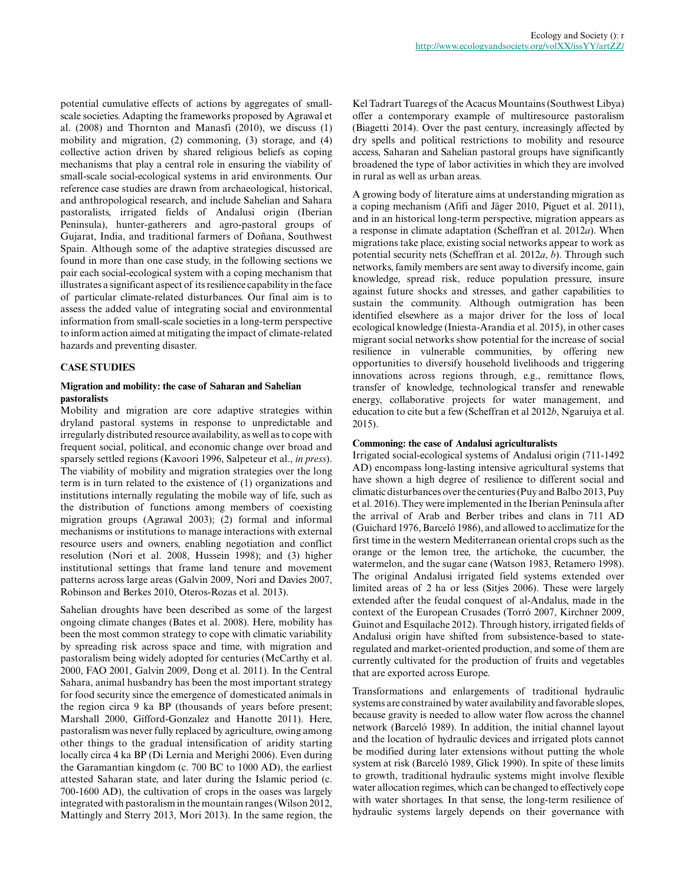potential cumulative effects of actions by aggregates of smallscale societies. Adapting the frameworks proposed by Agrawal et al. (2008) and Thornton and Manasfi (2010), we discuss (1) mobility and migration, (2) commoning, (3) storage, and (4) collective action driven by shared religious beliefs as coping mechanisms that play a central role in ensuring the viability of small-scale social-ecological systems in arid environments. Our reference case studies are drawn from archaeological, historical, and anthropological research, and include Sahelian and Sahara pastoralists, irrigated fields of Andalusi origin (Iberian Peninsula), hunter-gatherers and agro-pastoral groups of Gujarat, India, and traditional farmers of Doñana, Southwest Spain. Although some of the adaptive strategies discussed are found in more than one case study, in the following sections we pair each social-ecological system with a coping mechanism that illustrates a significant aspect of its resilience capability in the face of particular climate-related disturbances. Our final aim is to assess the added value of integrating social and environmental information from small-scale societies in a long-term perspective to inform action aimed at mitigating the impact of climate-related hazards and preventing disaster.

## **CASE STUDIES**

#### **Migration and mobility: the case of Saharan and Sahelian pastoralists**

Mobility and migration are core adaptive strategies within dryland pastoral systems in response to unpredictable and irregularly distributed resource availability, as well as to cope with frequent social, political, and economic change over broad and sparsely settled regions (Kavoori 1996, Salpeteur et al., *in press*). The viability of mobility and migration strategies over the long term is in turn related to the existence of (1) organizations and institutions internally regulating the mobile way of life, such as the distribution of functions among members of coexisting migration groups (Agrawal 2003); (2) formal and informal mechanisms or institutions to manage interactions with external resource users and owners, enabling negotiation and conflict resolution (Nori et al. 2008, Hussein 1998); and (3) higher institutional settings that frame land tenure and movement patterns across large areas (Galvin 2009, Nori and Davies 2007, Robinson and Berkes 2010, Oteros-Rozas et al. 2013).

Sahelian droughts have been described as some of the largest ongoing climate changes (Bates et al. 2008). Here, mobility has been the most common strategy to cope with climatic variability by spreading risk across space and time, with migration and pastoralism being widely adopted for centuries (McCarthy et al. 2000, FAO 2001, Galvin 2009, Dong et al. 2011). In the Central Sahara, animal husbandry has been the most important strategy for food security since the emergence of domesticated animals in the region circa 9 ka BP (thousands of years before present; Marshall 2000, Gifford-Gonzalez and Hanotte 2011). Here, pastoralism was never fully replaced by agriculture, owing among other things to the gradual intensification of aridity starting locally circa 4 ka BP (Di Lernia and Merighi 2006). Even during the Garamantian kingdom (c. 700 BC to 1000 AD), the earliest attested Saharan state, and later during the Islamic period (c. 700-1600 AD), the cultivation of crops in the oases was largely integrated with pastoralism in the mountain ranges (Wilson 2012, Mattingly and Sterry 2013, Mori 2013). In the same region, the

Kel Tadrart Tuaregs of the Acacus Mountains (Southwest Libya) offer a contemporary example of multiresource pastoralism (Biagetti 2014). Over the past century, increasingly affected by dry spells and political restrictions to mobility and resource access, Saharan and Sahelian pastoral groups have significantly broadened the type of labor activities in which they are involved in rural as well as urban areas.

A growing body of literature aims at understanding migration as a coping mechanism (Afifi and Jäger 2010, Piguet et al. 2011), and in an historical long-term perspective, migration appears as a response in climate adaptation (Scheffran et al. 2012*a*). When migrations take place, existing social networks appear to work as potential security nets (Scheffran et al. 2012*a*, *b*). Through such networks, family members are sent away to diversify income, gain knowledge, spread risk, reduce population pressure, insure against future shocks and stresses, and gather capabilities to sustain the community. Although outmigration has been identified elsewhere as a major driver for the loss of local ecological knowledge (Iniesta-Arandia et al. 2015), in other cases migrant social networks show potential for the increase of social resilience in vulnerable communities, by offering new opportunities to diversify household livelihoods and triggering innovations across regions through, e.g., remittance flows, transfer of knowledge, technological transfer and renewable energy, collaborative projects for water management, and education to cite but a few (Scheffran et al 2012*b*, Ngaruiya et al. 2015).

#### **Commoning: the case of Andalusi agriculturalists**

Irrigated social-ecological systems of Andalusi origin (711-1492 AD) encompass long-lasting intensive agricultural systems that have shown a high degree of resilience to different social and climatic disturbances over the centuries (Puy and Balbo 2013, Puy et al. 2016). They were implemented in the Iberian Peninsula after the arrival of Arab and Berber tribes and clans in 711 AD (Guichard 1976, Barceló 1986), and allowed to acclimatize for the first time in the western Mediterranean oriental crops such as the orange or the lemon tree, the artichoke, the cucumber, the watermelon, and the sugar cane (Watson 1983, Retamero 1998). The original Andalusi irrigated field systems extended over limited areas of 2 ha or less (Sitjes 2006). These were largely extended after the feudal conquest of al-Andalus, made in the context of the European Crusades (Torró 2007, Kirchner 2009, Guinot and Esquilache 2012). Through history, irrigated fields of Andalusi origin have shifted from subsistence-based to stateregulated and market-oriented production, and some of them are currently cultivated for the production of fruits and vegetables that are exported across Europe.

Transformations and enlargements of traditional hydraulic systems are constrained by water availability and favorable slopes, because gravity is needed to allow water flow across the channel network (Barceló 1989). In addition, the initial channel layout and the location of hydraulic devices and irrigated plots cannot be modified during later extensions without putting the whole system at risk (Barceló 1989, Glick 1990). In spite of these limits to growth, traditional hydraulic systems might involve flexible water allocation regimes, which can be changed to effectively cope with water shortages. In that sense, the long-term resilience of hydraulic systems largely depends on their governance with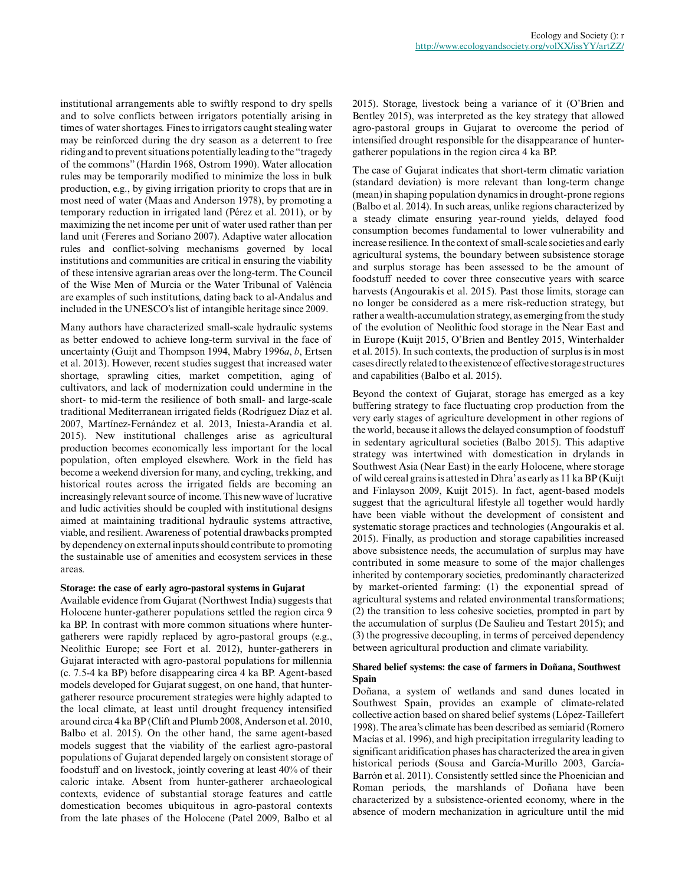institutional arrangements able to swiftly respond to dry spells and to solve conflicts between irrigators potentially arising in times of water shortages. Fines to irrigators caught stealing water may be reinforced during the dry season as a deterrent to free riding and to prevent situations potentially leading to the "tragedy of the commons" (Hardin 1968, Ostrom 1990). Water allocation rules may be temporarily modified to minimize the loss in bulk production, e.g., by giving irrigation priority to crops that are in most need of water (Maas and Anderson 1978), by promoting a temporary reduction in irrigated land (Pérez et al. 2011), or by maximizing the net income per unit of water used rather than per land unit (Fereres and Soriano 2007). Adaptive water allocation rules and conflict-solving mechanisms governed by local institutions and communities are critical in ensuring the viability of these intensive agrarian areas over the long-term. The Council of the Wise Men of Murcia or the Water Tribunal of València are examples of such institutions, dating back to al-Andalus and included in the UNESCO's list of intangible heritage since 2009.

Many authors have characterized small-scale hydraulic systems as better endowed to achieve long-term survival in the face of uncertainty (Guijt and Thompson 1994, Mabry 1996*a*, *b*, Ertsen et al. 2013). However, recent studies suggest that increased water shortage, sprawling cities, market competition, aging of cultivators, and lack of modernization could undermine in the short- to mid-term the resilience of both small- and large-scale traditional Mediterranean irrigated fields (Rodríguez Díaz et al. 2007, Martínez-Fernández et al. 2013, Iniesta-Arandia et al. 2015). New institutional challenges arise as agricultural production becomes economically less important for the local population, often employed elsewhere. Work in the field has become a weekend diversion for many, and cycling, trekking, and historical routes across the irrigated fields are becoming an increasingly relevant source of income. This new wave of lucrative and ludic activities should be coupled with institutional designs aimed at maintaining traditional hydraulic systems attractive, viable, and resilient. Awareness of potential drawbacks prompted by dependency on external inputs should contribute to promoting the sustainable use of amenities and ecosystem services in these areas.

#### **Storage: the case of early agro-pastoral systems in Gujarat**

Available evidence from Gujarat (Northwest India) suggests that Holocene hunter-gatherer populations settled the region circa 9 ka BP. In contrast with more common situations where huntergatherers were rapidly replaced by agro-pastoral groups (e.g., Neolithic Europe; see Fort et al. 2012), hunter-gatherers in Gujarat interacted with agro-pastoral populations for millennia (c. 7.5-4 ka BP) before disappearing circa 4 ka BP. Agent-based models developed for Gujarat suggest, on one hand, that huntergatherer resource procurement strategies were highly adapted to the local climate, at least until drought frequency intensified around circa 4 ka BP (Clift and Plumb 2008, Anderson et al. 2010, Balbo et al. 2015). On the other hand, the same agent-based models suggest that the viability of the earliest agro-pastoral populations of Gujarat depended largely on consistent storage of foodstuff and on livestock, jointly covering at least 40% of their caloric intake. Absent from hunter-gatherer archaeological contexts, evidence of substantial storage features and cattle domestication becomes ubiquitous in agro-pastoral contexts from the late phases of the Holocene (Patel 2009, Balbo et al

2015). Storage, livestock being a variance of it (O'Brien and Bentley 2015), was interpreted as the key strategy that allowed agro-pastoral groups in Gujarat to overcome the period of intensified drought responsible for the disappearance of huntergatherer populations in the region circa 4 ka BP.

The case of Gujarat indicates that short-term climatic variation (standard deviation) is more relevant than long-term change (mean) in shaping population dynamics in drought-prone regions (Balbo et al. 2014). In such areas, unlike regions characterized by a steady climate ensuring year-round yields, delayed food consumption becomes fundamental to lower vulnerability and increase resilience. In the context of small-scale societies and early agricultural systems, the boundary between subsistence storage and surplus storage has been assessed to be the amount of foodstuff needed to cover three consecutive years with scarce harvests (Angourakis et al. 2015). Past those limits, storage can no longer be considered as a mere risk-reduction strategy, but rather a wealth-accumulation strategy, as emerging from the study of the evolution of Neolithic food storage in the Near East and in Europe (Kuijt 2015, O'Brien and Bentley 2015, Winterhalder et al. 2015). In such contexts, the production of surplus is in most cases directly related to the existence of effective storage structures and capabilities (Balbo et al. 2015).

Beyond the context of Gujarat, storage has emerged as a key buffering strategy to face fluctuating crop production from the very early stages of agriculture development in other regions of the world, because it allows the delayed consumption of foodstuff in sedentary agricultural societies (Balbo 2015). This adaptive strategy was intertwined with domestication in drylands in Southwest Asia (Near East) in the early Holocene, where storage of wild cereal grains is attested in Dhra' as early as 11 ka BP (Kuijt and Finlayson 2009, Kuijt 2015). In fact, agent-based models suggest that the agricultural lifestyle all together would hardly have been viable without the development of consistent and systematic storage practices and technologies (Angourakis et al. 2015). Finally, as production and storage capabilities increased above subsistence needs, the accumulation of surplus may have contributed in some measure to some of the major challenges inherited by contemporary societies, predominantly characterized by market-oriented farming: (1) the exponential spread of agricultural systems and related environmental transformations; (2) the transition to less cohesive societies, prompted in part by the accumulation of surplus (De Saulieu and Testart 2015); and (3) the progressive decoupling, in terms of perceived dependency between agricultural production and climate variability.

## **Shared belief systems: the case of farmers in Doñana, Southwest Spain**

Doñana, a system of wetlands and sand dunes located in Southwest Spain, provides an example of climate-related collective action based on shared belief systems (López-Taillefert 1998). The area's climate has been described as semiarid (Romero Macías et al. 1996), and high precipitation irregularity leading to significant aridification phases has characterized the area in given historical periods (Sousa and García-Murillo 2003, García-Barrón et al. 2011). Consistently settled since the Phoenician and Roman periods, the marshlands of Doñana have been characterized by a subsistence-oriented economy, where in the absence of modern mechanization in agriculture until the mid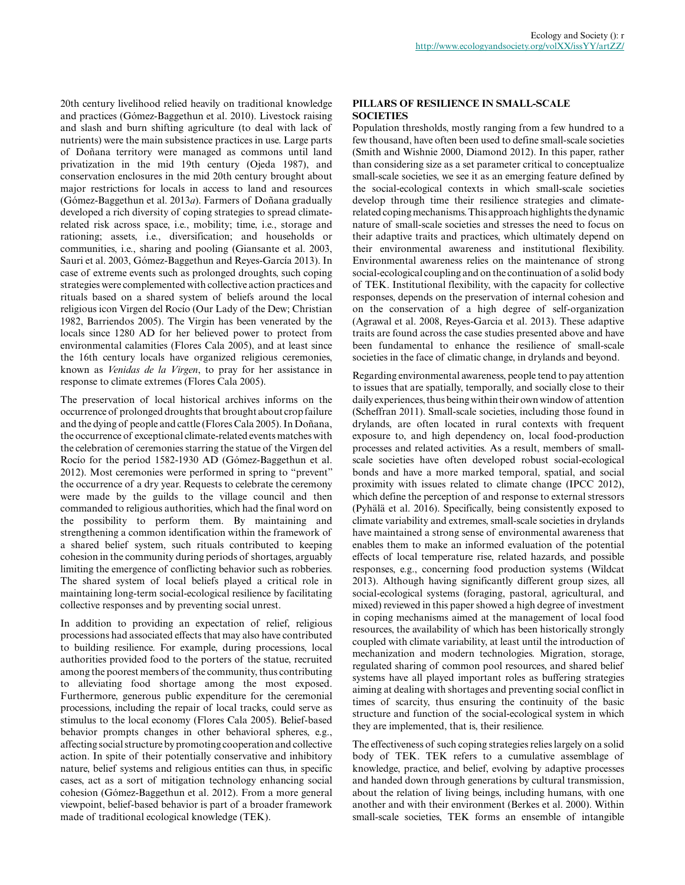20th century livelihood relied heavily on traditional knowledge and practices (Gómez-Baggethun et al. 2010). Livestock raising and slash and burn shifting agriculture (to deal with lack of nutrients) were the main subsistence practices in use. Large parts of Doñana territory were managed as commons until land privatization in the mid 19th century (Ojeda 1987), and conservation enclosures in the mid 20th century brought about major restrictions for locals in access to land and resources (Gómez-Baggethun et al. 2013*a*). Farmers of Doñana gradually developed a rich diversity of coping strategies to spread climaterelated risk across space, i.e., mobility; time, i.e., storage and rationing; assets, i.e., diversification; and households or communities, i.e., sharing and pooling (Giansante et al. 2003, Sauri et al. 2003, Gómez-Baggethun and Reyes-García 2013). In case of extreme events such as prolonged droughts, such coping strategies were complemented with collective action practices and rituals based on a shared system of beliefs around the local religious icon Virgen del Rocío (Our Lady of the Dew; Christian 1982, Barriendos 2005). The Virgin has been venerated by the locals since 1280 AD for her believed power to protect from environmental calamities (Flores Cala 2005), and at least since the 16th century locals have organized religious ceremonies, known as *Venidas de la Virgen*, to pray for her assistance in response to climate extremes (Flores Cala 2005).

The preservation of local historical archives informs on the occurrence of prolonged droughts that brought about crop failure and the dying of people and cattle (Flores Cala 2005). In Doñana, the occurrence of exceptional climate-related events matches with the celebration of ceremonies starring the statue of the Virgen del Rocío for the period 1582-1930 AD (Gómez-Baggethun et al. 2012). Most ceremonies were performed in spring to "prevent" the occurrence of a dry year. Requests to celebrate the ceremony were made by the guilds to the village council and then commanded to religious authorities, which had the final word on the possibility to perform them. By maintaining and strengthening a common identification within the framework of a shared belief system, such rituals contributed to keeping cohesion in the community during periods of shortages, arguably limiting the emergence of conflicting behavior such as robberies. The shared system of local beliefs played a critical role in maintaining long-term social-ecological resilience by facilitating collective responses and by preventing social unrest.

In addition to providing an expectation of relief, religious processions had associated effects that may also have contributed to building resilience. For example, during processions, local authorities provided food to the porters of the statue, recruited among the poorest members of the community, thus contributing to alleviating food shortage among the most exposed. Furthermore, generous public expenditure for the ceremonial processions, including the repair of local tracks, could serve as stimulus to the local economy (Flores Cala 2005). Belief-based behavior prompts changes in other behavioral spheres, e.g., affecting social structure by promoting cooperation and collective action. In spite of their potentially conservative and inhibitory nature, belief systems and religious entities can thus, in specific cases, act as a sort of mitigation technology enhancing social cohesion (Gómez-Baggethun et al. 2012). From a more general viewpoint, belief-based behavior is part of a broader framework made of traditional ecological knowledge (TEK).

## **PILLARS OF RESILIENCE IN SMALL-SCALE SOCIETIES**

Population thresholds, mostly ranging from a few hundred to a few thousand, have often been used to define small-scale societies (Smith and Wishnie 2000, Diamond 2012). In this paper, rather than considering size as a set parameter critical to conceptualize small-scale societies, we see it as an emerging feature defined by the social-ecological contexts in which small-scale societies develop through time their resilience strategies and climaterelated coping mechanisms. This approach highlights the dynamic nature of small-scale societies and stresses the need to focus on their adaptive traits and practices, which ultimately depend on their environmental awareness and institutional flexibility. Environmental awareness relies on the maintenance of strong social-ecological coupling and on the continuation of a solid body of TEK. Institutional flexibility, with the capacity for collective responses, depends on the preservation of internal cohesion and on the conservation of a high degree of self-organization (Agrawal et al. 2008, Reyes-Garcia et al. 2013). These adaptive traits are found across the case studies presented above and have been fundamental to enhance the resilience of small-scale societies in the face of climatic change, in drylands and beyond.

Regarding environmental awareness, people tend to pay attention to issues that are spatially, temporally, and socially close to their daily experiences, thus being within their own window of attention (Scheffran 2011). Small-scale societies, including those found in drylands, are often located in rural contexts with frequent exposure to, and high dependency on, local food-production processes and related activities. As a result, members of smallscale societies have often developed robust social-ecological bonds and have a more marked temporal, spatial, and social proximity with issues related to climate change (IPCC 2012), which define the perception of and response to external stressors (Pyhälä et al. 2016). Specifically, being consistently exposed to climate variability and extremes, small-scale societies in drylands have maintained a strong sense of environmental awareness that enables them to make an informed evaluation of the potential effects of local temperature rise, related hazards, and possible responses, e.g., concerning food production systems (Wildcat 2013). Although having significantly different group sizes, all social-ecological systems (foraging, pastoral, agricultural, and mixed) reviewed in this paper showed a high degree of investment in coping mechanisms aimed at the management of local food resources, the availability of which has been historically strongly coupled with climate variability, at least until the introduction of mechanization and modern technologies. Migration, storage, regulated sharing of common pool resources, and shared belief systems have all played important roles as buffering strategies aiming at dealing with shortages and preventing social conflict in times of scarcity, thus ensuring the continuity of the basic structure and function of the social-ecological system in which they are implemented, that is, their resilience.

The effectiveness of such coping strategies relies largely on a solid body of TEK. TEK refers to a cumulative assemblage of knowledge, practice, and belief, evolving by adaptive processes and handed down through generations by cultural transmission, about the relation of living beings, including humans, with one another and with their environment (Berkes et al. 2000). Within small-scale societies, TEK forms an ensemble of intangible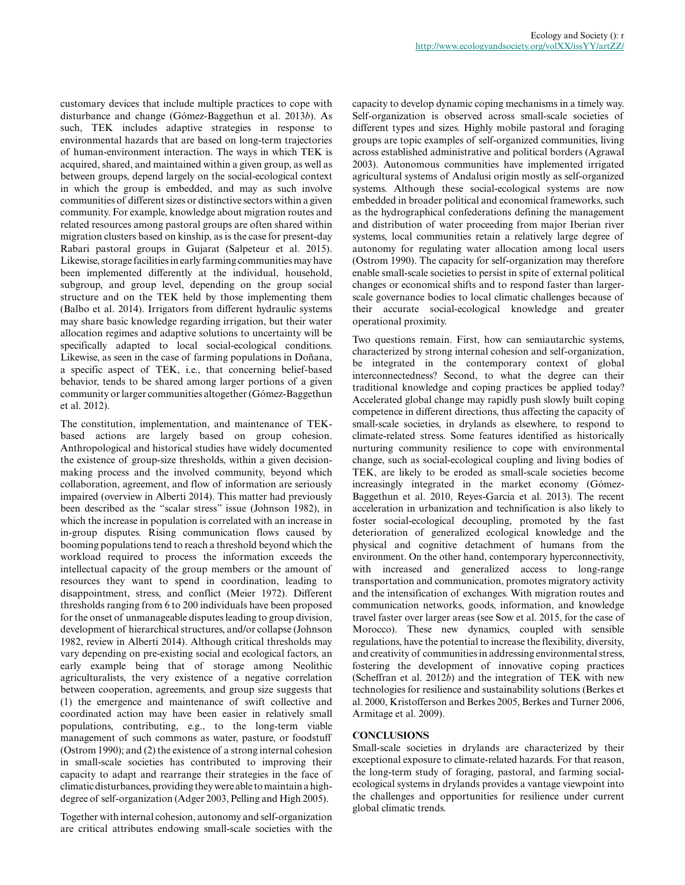customary devices that include multiple practices to cope with disturbance and change (Gómez-Baggethun et al. 2013*b*). As such, TEK includes adaptive strategies in response to environmental hazards that are based on long-term trajectories of human-environment interaction. The ways in which TEK is acquired, shared, and maintained within a given group, as well as between groups, depend largely on the social-ecological context in which the group is embedded, and may as such involve communities of different sizes or distinctive sectors within a given community. For example, knowledge about migration routes and related resources among pastoral groups are often shared within migration clusters based on kinship, as is the case for present-day Rabari pastoral groups in Gujarat (Salpeteur et al. 2015). Likewise, storage facilities in early farming communities may have been implemented differently at the individual, household, subgroup, and group level, depending on the group social structure and on the TEK held by those implementing them (Balbo et al. 2014). Irrigators from different hydraulic systems may share basic knowledge regarding irrigation, but their water allocation regimes and adaptive solutions to uncertainty will be specifically adapted to local social-ecological conditions. Likewise, as seen in the case of farming populations in Doñana, a specific aspect of TEK, i.e., that concerning belief-based behavior, tends to be shared among larger portions of a given community or larger communities altogether (Gómez-Baggethun et al. 2012).

The constitution, implementation, and maintenance of TEKbased actions are largely based on group cohesion. Anthropological and historical studies have widely documented the existence of group-size thresholds, within a given decisionmaking process and the involved community, beyond which collaboration, agreement, and flow of information are seriously impaired (overview in Alberti 2014). This matter had previously been described as the "scalar stress" issue (Johnson 1982), in which the increase in population is correlated with an increase in in-group disputes. Rising communication flows caused by booming populations tend to reach a threshold beyond which the workload required to process the information exceeds the intellectual capacity of the group members or the amount of resources they want to spend in coordination, leading to disappointment, stress, and conflict (Meier 1972). Different thresholds ranging from 6 to 200 individuals have been proposed for the onset of unmanageable disputes leading to group division, development of hierarchical structures, and/or collapse (Johnson 1982, review in Alberti 2014). Although critical thresholds may vary depending on pre-existing social and ecological factors, an early example being that of storage among Neolithic agriculturalists, the very existence of a negative correlation between cooperation, agreements, and group size suggests that (1) the emergence and maintenance of swift collective and coordinated action may have been easier in relatively small populations, contributing, e.g., to the long-term viable management of such commons as water, pasture, or foodstuff (Ostrom 1990); and (2) the existence of a strong internal cohesion in small-scale societies has contributed to improving their capacity to adapt and rearrange their strategies in the face of climatic disturbances, providing they were able to maintain a highdegree of self-organization (Adger 2003, Pelling and High 2005).

Together with internal cohesion, autonomy and self-organization are critical attributes endowing small-scale societies with the capacity to develop dynamic coping mechanisms in a timely way. Self-organization is observed across small-scale societies of different types and sizes. Highly mobile pastoral and foraging groups are topic examples of self-organized communities, living across established administrative and political borders (Agrawal 2003). Autonomous communities have implemented irrigated agricultural systems of Andalusi origin mostly as self-organized systems. Although these social-ecological systems are now embedded in broader political and economical frameworks, such as the hydrographical confederations defining the management and distribution of water proceeding from major Iberian river systems, local communities retain a relatively large degree of autonomy for regulating water allocation among local users (Ostrom 1990). The capacity for self-organization may therefore enable small-scale societies to persist in spite of external political changes or economical shifts and to respond faster than largerscale governance bodies to local climatic challenges because of their accurate social-ecological knowledge and greater operational proximity.

Two questions remain. First, how can semiautarchic systems, characterized by strong internal cohesion and self-organization, be integrated in the contemporary context of global interconnectedness? Second, to what the degree can their traditional knowledge and coping practices be applied today? Accelerated global change may rapidly push slowly built coping competence in different directions, thus affecting the capacity of small-scale societies, in drylands as elsewhere, to respond to climate-related stress. Some features identified as historically nurturing community resilience to cope with environmental change, such as social-ecological coupling and living bodies of TEK, are likely to be eroded as small-scale societies become increasingly integrated in the market economy (Gómez-Baggethun et al. 2010, Reyes-Garcia et al. 2013). The recent acceleration in urbanization and technification is also likely to foster social-ecological decoupling, promoted by the fast deterioration of generalized ecological knowledge and the physical and cognitive detachment of humans from the environment. On the other hand, contemporary hyperconnectivity, with increased and generalized access to long-range transportation and communication, promotes migratory activity and the intensification of exchanges. With migration routes and communication networks, goods, information, and knowledge travel faster over larger areas (see Sow et al. 2015, for the case of Morocco). These new dynamics, coupled with sensible regulations, have the potential to increase the flexibility, diversity, and creativity of communities in addressing environmental stress, fostering the development of innovative coping practices (Scheffran et al. 2012*b*) and the integration of TEK with new technologies for resilience and sustainability solutions (Berkes et al. 2000, Kristofferson and Berkes 2005, Berkes and Turner 2006, Armitage et al. 2009).

## **CONCLUSIONS**

Small-scale societies in drylands are characterized by their exceptional exposure to climate-related hazards. For that reason, the long-term study of foraging, pastoral, and farming socialecological systems in drylands provides a vantage viewpoint into the challenges and opportunities for resilience under current global climatic trends.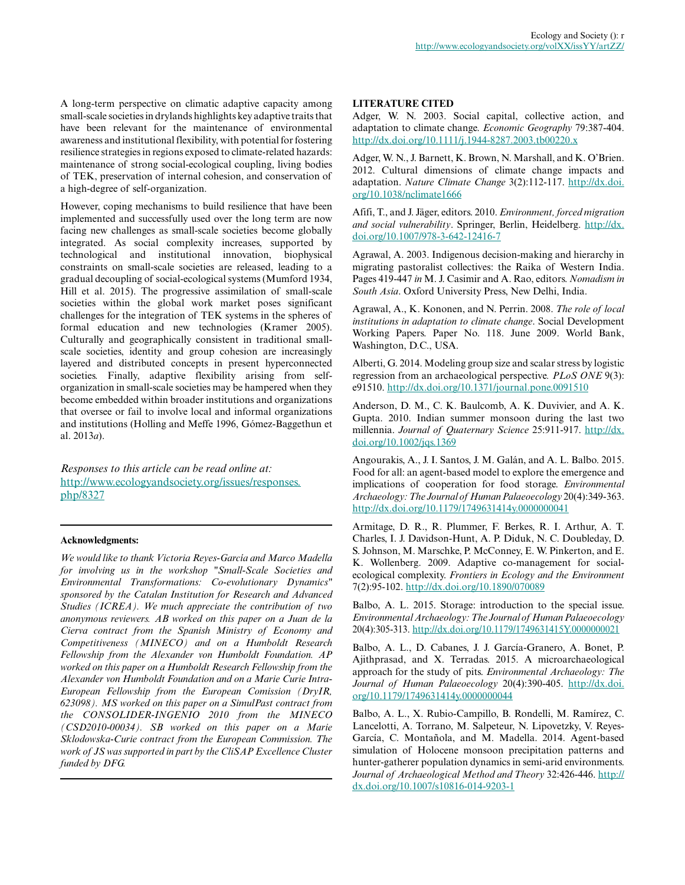A long-term perspective on climatic adaptive capacity among small-scale societies in drylands highlights key adaptive traits that have been relevant for the maintenance of environmental awareness and institutional flexibility, with potential for fostering resilience strategies in regions exposed to climate-related hazards: maintenance of strong social-ecological coupling, living bodies of TEK, preservation of internal cohesion, and conservation of a high-degree of self-organization.

However, coping mechanisms to build resilience that have been implemented and successfully used over the long term are now facing new challenges as small-scale societies become globally integrated. As social complexity increases, supported by technological and institutional innovation, biophysical constraints on small-scale societies are released, leading to a gradual decoupling of social-ecological systems (Mumford 1934, Hill et al. 2015). The progressive assimilation of small-scale societies within the global work market poses significant challenges for the integration of TEK systems in the spheres of formal education and new technologies (Kramer 2005). Culturally and geographically consistent in traditional smallscale societies, identity and group cohesion are increasingly layered and distributed concepts in present hyperconnected societies. Finally, adaptive flexibility arising from selforganization in small-scale societies may be hampered when they become embedded within broader institutions and organizations that oversee or fail to involve local and informal organizations and institutions (Holling and Meffe 1996, Gómez-Baggethun et al. 2013*a*).

*Responses to this article can be read online at:* [http://www.ecologyandsociety.org/issues/responses.](http://www.ecologyandsociety.org/issues/responses.php/8327) [php/8327](http://www.ecologyandsociety.org/issues/responses.php/8327)

## **Acknowledgments:**

*We would like to thank Victoria Reyes-García and Marco Madella for involving us in the workshop "Small-Scale Societies and Environmental Transformations: Co-evolutionary Dynamics" sponsored by the Catalan Institution for Research and Advanced Studies (ICREA). We much appreciate the contribution of two anonymous reviewers. AB worked on this paper on a Juan de la Cierva contract from the Spanish Ministry of Economy and Competitiveness (MINECO) and on a Humboldt Research Fellowship from the Alexander von Humboldt Foundation. AP worked on this paper on a Humboldt Research Fellowship from the Alexander von Humboldt Foundation and on a Marie Curie Intra-European Fellowship from the European Comission (DryIR, 623098). MS worked on this paper on a SimulPast contract from the CONSOLIDER-INGENIO 2010 from the MINECO (CSD2010-00034). SB worked on this paper on a Marie Sklodowska-Curie contract from the European Commission. The work of JS was supported in part by the CliSAP Excellence Cluster funded by DFG.*

#### **LITERATURE CITED**

Adger, W. N. 2003. Social capital, collective action, and adaptation to climate change. *Economic Geography* 79:387-404. [http://dx.doi.org/10.1111/j.1944-8287.2003.tb00220.x](http://dx.doi.org/10.1111%2Fj.1944-8287.2003.tb00220.x)

Adger, W. N., J. Barnett, K. Brown, N. Marshall, and K. O'Brien. 2012. Cultural dimensions of climate change impacts and adaptation. *Nature Climate Change* 3(2):112-117. [http://dx.doi.](http://dx.doi.org/10.1038%2Fnclimate1666) [org/10.1038/nclimate1666](http://dx.doi.org/10.1038%2Fnclimate1666) 

Afifi, T., and J. Jäger, editors. 2010. *Environment, forced migration and social vulnerability*. Springer, Berlin, Heidelberg. [http://dx.](http://dx.doi.org/10.1007%2F978-3-642-12416-7) [doi.org/10.1007/978-3-642-12416-7](http://dx.doi.org/10.1007%2F978-3-642-12416-7)

Agrawal, A. 2003. Indigenous decision-making and hierarchy in migrating pastoralist collectives: the Raika of Western India. Pages 419-447 *in* M. J. Casimir and A. Rao, editors. *Nomadism in South Asia*. Oxford University Press, New Delhi, India.

Agrawal, A., K. Kononen, and N. Perrin. 2008. *The role of local institutions in adaptation to climate change*. Social Development Working Papers. Paper No. 118. June 2009. World Bank, Washington, D.C., USA.

Alberti, G. 2014. Modeling group size and scalar stress by logistic regression from an archaeological perspective*. PLoS ONE* 9(3): e91510. [http://dx.doi.org/10.1371/journal.pone.0091510](http://dx.doi.org/10.1371%2Fjournal.pone.0091510) 

Anderson, D. M., C. K. Baulcomb, A. K. Duvivier, and A. K. Gupta. 2010. Indian summer monsoon during the last two millennia. *Journal of Quaternary Science* 25:911-917. [http://dx.](http://dx.doi.org/10.1002%2Fjqs.1369) [doi.org/10.1002/jqs.1369](http://dx.doi.org/10.1002%2Fjqs.1369) 

Angourakis, A., J. I. Santos, J. M. Galán, and A. L. Balbo. 2015. Food for all: an agent-based model to explore the emergence and implications of cooperation for food storage. *Environmental Archaeology: The Journal of Human Palaeoecology* 20(4):349-363. [http://dx.doi.org/10.1179/1749631414y.0000000041](http://dx.doi.org/10.1179%2F1749631414y.0000000041)

Armitage, D. R., R. Plummer, F. Berkes, R. I. Arthur, A. T. Charles, I. J. Davidson-Hunt, A. P. Diduk, N. C. Doubleday, D. S. Johnson, M. Marschke, P. McConney, E. W. Pinkerton, and E. K. Wollenberg. 2009. Adaptive co-management for socialecological complexity. *Frontiers in Ecology and the Environment* 7(2):95-102. [http://dx.doi.org/10.1890/070089](http://dx.doi.org/10.1890%2F070089) 

Balbo, A. L. 2015. Storage: introduction to the special issue. *Environmental Archaeology: The Journal of Human Palaeoecology* 20(4):305-313. <http://dx.doi.org/10.1179/1749631415Y.0000000021>

Balbo, A. L., D. Cabanes, J. J. García-Granero, A. Bonet, P. Ajithprasad, and X. Terradas. 2015. A microarchaeological approach for the study of pits. *Environmental Archaeology: The Journal of Human Palaeoecology* 20(4):390-405. [http://dx.doi.](http://dx.doi.org/10.1179%2F1749631414y.0000000044) [org/10.1179/1749631414y.0000000044](http://dx.doi.org/10.1179%2F1749631414y.0000000044)

Balbo, A. L., X. Rubio-Campillo, B. Rondelli, M. Ramírez, C. Lancelotti, A. Torrano, M. Salpeteur, N. Lipovetzky, V. Reyes-García, C. Montañola, and M. Madella. 2014. Agent-based simulation of Holocene monsoon precipitation patterns and hunter-gatherer population dynamics in semi-arid environments. *Journal of Archaeological Method and Theory* 32:426-446. [http://](http://dx.doi.org/10.1007%2Fs10816-014-9203-1) [dx.doi.org/10.1007/s10816-014-9203-1](http://dx.doi.org/10.1007%2Fs10816-014-9203-1)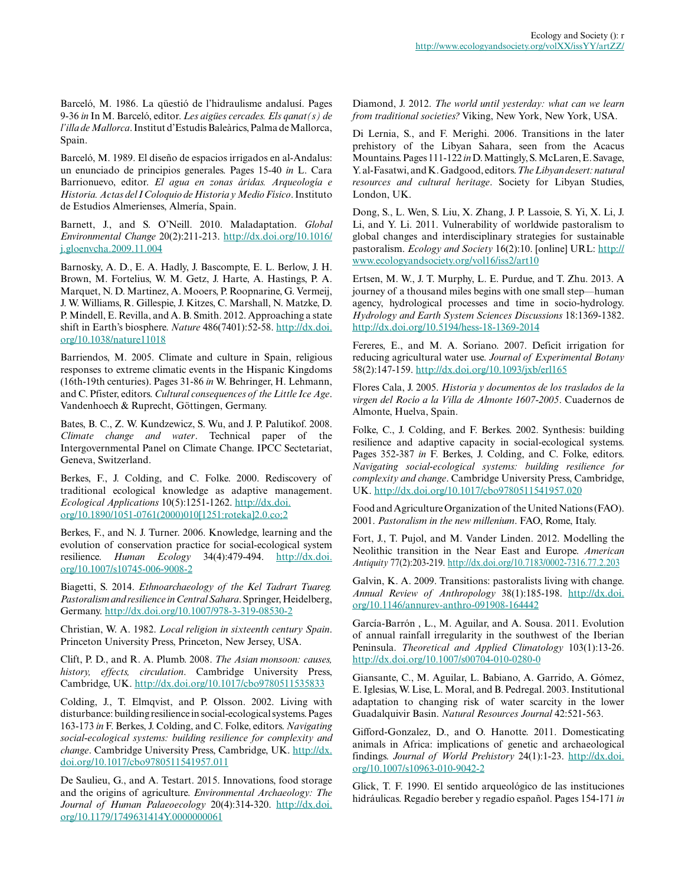Barceló, M. 1986. La qüestió de l'hidraulisme andalusí. Pages 9-36 *in* In M. Barceló, editor. *Les aigües cercades. Els qanat(s) de l'illa de Mallorca*. Institut d'Estudis Baleàrics, Palma de Mallorca, Spain.

Barceló, M. 1989. El diseño de espacios irrigados en al-Andalus: un enunciado de principios generales. Pages 15-40 *in* L. Cara Barrionuevo, editor. *El agua en zonas áridas. Arqueología e Historia. Actas del I Coloquio de Historia y Medio Físico*. Instituto de Estudios Almerienses, Almería, Spain.

Barnett, J., and S. O'Neill. 2010. Maladaptation. *Global Environmental Change* 20(2):211-213. [http://dx.doi.org/10.1016/](http://dx.doi.org/10.1016%2Fj.gloenvcha.2009.11.004) [j.gloenvcha.2009.11.004](http://dx.doi.org/10.1016%2Fj.gloenvcha.2009.11.004) 

Barnosky, A. D., E. A. Hadly, J. Bascompte, E. L. Berlow, J. H. Brown, M. Fortelius, W. M. Getz, J. Harte, A. Hastings, P. A. Marquet, N. D. Martinez, A. Mooers, P. Roopnarine, G. Vermeij, J. W. Williams, R. Gillespie, J. Kitzes, C. Marshall, N. Matzke, D. P. Mindell, E. Revilla, and A. B. Smith. 2012. Approaching a state shift in Earth's biosphere. *Nature* 486(7401):52-58. [http://dx.doi.](http://dx.doi.org/10.1038%2Fnature11018) [org/10.1038/nature11018](http://dx.doi.org/10.1038%2Fnature11018)

Barriendos, M. 2005. Climate and culture in Spain, religious responses to extreme climatic events in the Hispanic Kingdoms (16th-19th centuries). Pages 31-86 *in* W. Behringer, H. Lehmann, and C. Pfister, editors. *Cultural consequences of the Little Ice Age*. Vandenhoech & Ruprecht, Göttingen, Germany.

Bates, B. C., Z. W. Kundzewicz, S. Wu, and J. P. Palutikof. 2008. *Climate change and water*. Technical paper of the Intergovernmental Panel on Climate Change. IPCC Sectetariat, Geneva, Switzerland.

Berkes, F., J. Colding, and C. Folke. 2000. Rediscovery of traditional ecological knowledge as adaptive management. *Ecological Applications* 10(5):1251-1262. [http://dx.doi.](http://dx.doi.org/10.1890%2F1051-0761%282000%29010%5B1251%3Aroteka%5D2.0.co%3B2) [org/10.1890/1051-0761\(2000\)010\[1251:roteka\]2.0.co;2](http://dx.doi.org/10.1890%2F1051-0761%282000%29010%5B1251%3Aroteka%5D2.0.co%3B2)

Berkes, F., and N. J. Turner. 2006. Knowledge, learning and the evolution of conservation practice for social-ecological system resilience. *Human Ecology* 34(4):479-494. [http://dx.doi.](http://dx.doi.org/10.1007/s10745-006-9008-2) [org/10.1007/s10745-006-9008-2](http://dx.doi.org/10.1007/s10745-006-9008-2)

Biagetti, S. 2014. *Ethnoarchaeology of the Kel Tadrart Tuareg. Pastoralism and resilience in Central Sahara*. Springer, Heidelberg, Germany. [http://dx.doi.org/10.1007/978-3-319-08530-2](http://dx.doi.org/10.1007%2F978-3-319-08530-2)

Christian, W. A. 1982. *Local religion in sixteenth century Spain*. Princeton University Press, Princeton, New Jersey, USA.

Clift, P. D., and R. A. Plumb. 2008. *The Asian monsoon: causes, history, effects, circulation*. Cambridge University Press, Cambridge, UK. [http://dx.doi.org/10.1017/cbo9780511535833](http://dx.doi.org/10.1017%2Fcbo9780511535833)

Colding, J., T. Elmqvist, and P. Olsson. 2002. Living with disturbance: building resilience in social-ecological systems. Pages 163-173 *in* F. Berkes, J. Colding, and C. Folke, editors. *Navigating social-ecological systems: building resilience for complexity and change*. Cambridge University Press, Cambridge, UK. [http://dx.](http://dx.doi.org/10.1017%2Fcbo9780511541957.011) [doi.org/10.1017/cbo9780511541957.011](http://dx.doi.org/10.1017%2Fcbo9780511541957.011)

De Saulieu, G., and A. Testart. 2015. Innovations, food storage and the origins of agriculture. *Environmental Archaeology: The Journal of Human Palaeoecology* 20(4):314-320. [http://dx.doi.](http://dx.doi.org/10.1179%2F1749631414Y.0000000061) [org/10.1179/1749631414Y.0000000061](http://dx.doi.org/10.1179%2F1749631414Y.0000000061) 

Diamond, J. 2012. *The world until yesterday: what can we learn from traditional societies?* Viking, New York, New York, USA.

Di Lernia, S., and F. Merighi. 2006. Transitions in the later prehistory of the Libyan Sahara, seen from the Acacus Mountains. Pages 111-122 *in* D. Mattingly, S. McLaren, E. Savage, Y. al-Fasatwi, and K. Gadgood, editors. *The Libyan desert: natural resources and cultural heritage*. Society for Libyan Studies, London, UK.

Dong, S., L. Wen, S. Liu, X. Zhang, J. P. Lassoie, S. Yi, X. Li, J. Li, and Y. Li. 2011. Vulnerability of worldwide pastoralism to global changes and interdisciplinary strategies for sustainable pastoralism. *Ecology and Society* 16(2):10. [online] URL: [http://](http://www.ecologyandsociety.org/vol16/iss2/art10/) [www.ecologyandsociety.org/vol16/iss2/art10](http://www.ecologyandsociety.org/vol16/iss2/art10/) 

Ertsen, M. W., J. T. Murphy, L. E. Purdue, and T. Zhu. 2013. A journey of a thousand miles begins with one small step—human agency, hydrological processes and time in socio-hydrology. *Hydrology and Earth System Sciences Discussions* 18:1369-1382. [http://dx.doi.org/10.5194/hess-18-1369-2014](http://dx.doi.org/10.5194%2Fhess-18-1369-2014)

Fereres, E., and M. A. Soriano. 2007. Deficit irrigation for reducing agricultural water use. *Journal of Experimental Botany* 58(2):147-159. [http://dx.doi.org/10.1093/jxb/erl165](http://dx.doi.org/10.1093%2Fjxb%2Ferl165) 

Flores Cala, J. 2005. *Historia y documentos de los traslados de la virgen del Rocío a la Villa de Almonte 1607-2005*. Cuadernos de Almonte, Huelva, Spain.

Folke, C., J. Colding, and F. Berkes. 2002. Synthesis: building resilience and adaptive capacity in social-ecological systems. Pages 352-387 *in* F. Berkes, J. Colding, and C. Folke, editors. *Navigating social-ecological systems: building resilience for complexity and change*. Cambridge University Press, Cambridge, UK. [http://dx.doi.org/10.1017/cbo9780511541957.020](http://dx.doi.org/10.1017%2Fcbo9780511541957.020)

Food and Agriculture Organization of the United Nations (FAO). 2001. *Pastoralism in the new millenium*. FAO, Rome, Italy.

Fort, J., T. Pujol, and M. Vander Linden. 2012. Modelling the Neolithic transition in the Near East and Europe. *American Antiquity* 77(2):203-219. [http://dx.doi.org/10.7183/0002-7316.77.2.203](http://dx.doi.org/10.7183%2F0002-7316.77.2.203) 

Galvin, K. A. 2009. Transitions: pastoralists living with change. *Annual Review of Anthropology* 38(1):185-198. [http://dx.doi.](http://dx.doi.org/10.1146%2Fannurev-anthro-091908-164442) [org/10.1146/annurev-anthro-091908-164442](http://dx.doi.org/10.1146%2Fannurev-anthro-091908-164442)

García-Barrón , L., M. Aguilar, and A. Sousa. 2011. Evolution of annual rainfall irregularity in the southwest of the Iberian Peninsula. *Theoretical and Applied Climatology* 103(1):13-26. [http://dx.doi.org/10.1007/s00704-010-0280-0](http://dx.doi.org/10.1007%2Fs00704-010-0280-0)

Giansante, C., M. Aguilar, L. Babiano, A. Garrido, A. Gómez, E. Iglesias, W. Lise, L. Moral, and B. Pedregal. 2003. Institutional adaptation to changing risk of water scarcity in the lower Guadalquivir Basin. *Natural Resources Journal* 42:521-563.

Gifford-Gonzalez, D., and O. Hanotte. 2011. Domesticating animals in Africa: implications of genetic and archaeological findings. *Journal of World Prehistory* 24(1):1-23. [http://dx.doi.](http://dx.doi.org/10.1007%2Fs10963-010-9042-2) [org/10.1007/s10963-010-9042-2](http://dx.doi.org/10.1007%2Fs10963-010-9042-2)

Glick, T. F. 1990. El sentido arqueológico de las instituciones hidráulicas. Regadío bereber y regadío español. Pages 154-171 *in*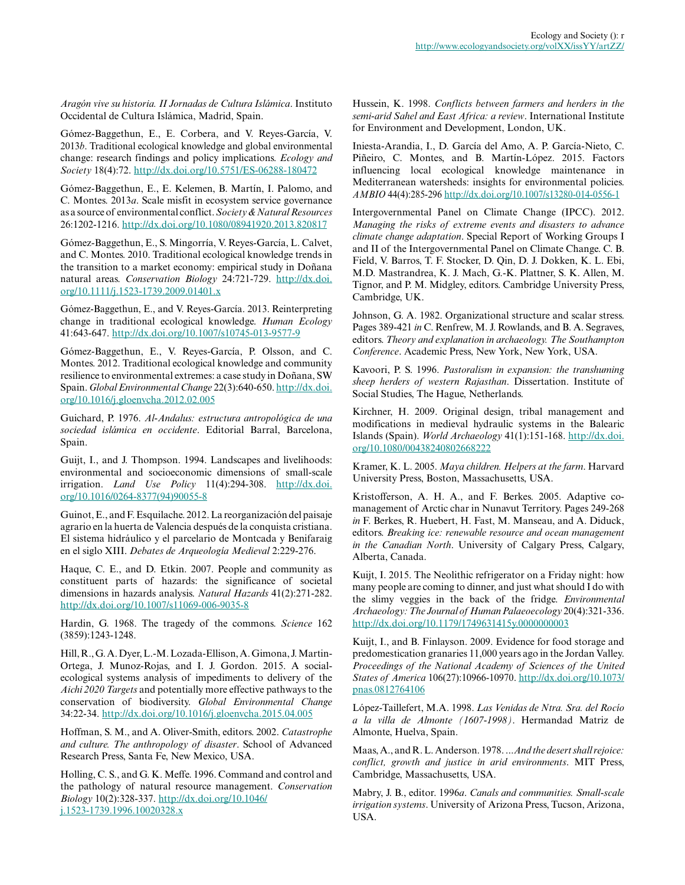*Aragón vive su historia. II Jornadas de Cultura Islámica*. Instituto Occidental de Cultura Islámica, Madrid, Spain.

Gómez-Baggethun, E., E. Corbera, and V. Reyes-García, V. 2013*b*. Traditional ecological knowledge and global environmental change: research findings and policy implications. *Ecology and Society* 18(4):72. [http://dx.doi.org/10.5751/ES-06288-180472](http://dx.doi.org/10.5751%2FES-06288-180472)

Gómez-Baggethun, E., E. Kelemen, B. Martín, I. Palomo, and C. Montes. 2013*a*. Scale misfit in ecosystem service governance as a source of environmental conflict. *Society & Natural Resources* 26:1202-1216.<http://dx.doi.org/10.1080/08941920.2013.820817>

Gómez-Baggethun, E., S. Mingorría, V. Reyes-García, L. Calvet, and C. Montes. 2010. Traditional ecological knowledge trends in the transition to a market economy: empirical study in Doñana natural areas. *Conservation Biology* 24:721-729. [http://dx.doi.](http://dx.doi.org/10.1111%2Fj.1523-1739.2009.01401.x) [org/10.1111/j.1523-1739.2009.01401.x](http://dx.doi.org/10.1111%2Fj.1523-1739.2009.01401.x)

Gómez-Baggethun, E., and V. Reyes-García. 2013. Reinterpreting change in traditional ecological knowledge. *Human Ecology* 41:643-647. [http://dx.doi.org/10.1007/s10745-013-9577-9](http://dx.doi.org/10.1007%2Fs10745-013-9577-9)

Gómez-Baggethun, E., V. Reyes-García, P. Olsson, and C. Montes. 2012. Traditional ecological knowledge and community resilience to environmental extremes: a case study in Doñana, SW Spain. *Global Environmental Change* 22(3):640-650. [http://dx.doi.](http://dx.doi.org/10.1016%2Fj.gloenvcha.2012.02.005) [org/10.1016/j.gloenvcha.2012.02.005](http://dx.doi.org/10.1016%2Fj.gloenvcha.2012.02.005)

Guichard, P. 1976. *Al-Andalus: estructura antropológica de una sociedad islámica en occidente*. Editorial Barral, Barcelona, Spain.

Guijt, I., and J. Thompson. 1994. Landscapes and livelihoods: environmental and socioeconomic dimensions of small-scale irrigation. *Land Use Policy* 11(4):294-308. [http://dx.doi.](http://dx.doi.org/10.1016%2F0264-8377%2894%2990055-8) [org/10.1016/0264-8377\(94\)90055-8](http://dx.doi.org/10.1016%2F0264-8377%2894%2990055-8)

Guinot, E., and F. Esquilache. 2012. La reorganización del paisaje agrario en la huerta de Valencia después de la conquista cristiana. El sistema hidráulico y el parcelario de Montcada y Benifaraig en el siglo XIII. *Debates de Arqueología Medieval* 2:229-276.

Haque, C. E., and D. Etkin. 2007. People and community as constituent parts of hazards: the significance of societal dimensions in hazards analysis. *Natural Hazards* 41(2):271-282. [http://dx.doi.org/10.1007/s11069-006-9035-8](http://dx.doi.org/10.1007%2Fs11069-006-9035-8)

Hardin, G. 1968. The tragedy of the commons. *Science* 162 (3859):1243-1248.

Hill, R., G. A. Dyer, L.-M. Lozada-Ellison, A. Gimona, J. Martin-Ortega, J. Munoz-Rojas, and I. J. Gordon. 2015. A socialecological systems analysis of impediments to delivery of the *Aichi 2020 Targets* and potentially more effective pathways to the conservation of biodiversity. *Global Environmental Change* 34:22-34. [http://dx.doi.org/10.1016/j.gloenvcha.2015.04.005](http://dx.doi.org/10.1016%2Fj.gloenvcha.2015.04.005)

Hoffman, S. M., and A. Oliver-Smith, editors. 2002. *Catastrophe and culture. The anthropology of disaster*. School of Advanced Research Press, Santa Fe, New Mexico, USA.

Holling, C. S., and G. K. Meffe. 1996. Command and control and the pathology of natural resource management. *Conservation Biology* 10(2):328-337. [http://dx.doi.org/10.1046/](http://dx.doi.org/10.1046/j.1523-1739.1996.10020328.x) [j.1523-1739.1996.10020328.x](http://dx.doi.org/10.1046/j.1523-1739.1996.10020328.x) 

Hussein, K. 1998. *Conflicts between farmers and herders in the semi-arid Sahel and East Africa: a review*. International Institute for Environment and Development, London, UK.

Iniesta-Arandia, I., D. García del Amo, A. P. García-Nieto, C. Piñeiro, C. Montes, and B. Martín-López. 2015. Factors influencing local ecological knowledge maintenance in Mediterranean watersheds: insights for environmental policies. *AMBIO* 44(4):285-296 [http://dx.doi.org/10.1007/s13280-014-0556-1](http://dx.doi.org/10.1007%2Fs13280-014-0556-1) 

Intergovernmental Panel on Climate Change (IPCC). 2012. *Managing the risks of extreme events and disasters to advance climate change adaptation*. Special Report of Working Groups I and II of the Intergovernmental Panel on Climate Change. C. B. Field, V. Barros, T. F. Stocker, D. Qin, D. J. Dokken, K. L. Ebi, M.D. Mastrandrea, K. J. Mach, G.-K. Plattner, S. K. Allen, M. Tignor, and P. M. Midgley, editors. Cambridge University Press, Cambridge, UK.

Johnson, G. A. 1982. Organizational structure and scalar stress. Pages 389-421 *in* C. Renfrew, M. J. Rowlands, and B. A. Segraves, editors. *Theory and explanation in archaeology. The Southampton Conference*. Academic Press, New York, New York, USA.

Kavoori, P. S. 1996. *Pastoralism in expansion: the transhuming sheep herders of western Rajasthan*. Dissertation. Institute of Social Studies, The Hague, Netherlands.

Kirchner, H. 2009. Original design, tribal management and modifications in medieval hydraulic systems in the Balearic Islands (Spain). *World Archaeology* 41(1):151-168. [http://dx.doi.](http://dx.doi.org/10.1080%2F00438240802668222) [org/10.1080/00438240802668222](http://dx.doi.org/10.1080%2F00438240802668222) 

Kramer, K. L. 2005. *Maya children. Helpers at the farm*. Harvard University Press, Boston, Massachusetts, USA.

Kristofferson, A. H. A., and F. Berkes. 2005. Adaptive comanagement of Arctic char in Nunavut Territory. Pages 249-268 *in* F. Berkes, R. Huebert, H. Fast, M. Manseau, and A. Diduck, editors. *Breaking ice: renewable resource and ocean management in the Canadian North*. University of Calgary Press, Calgary, Alberta, Canada.

Kuijt, I. 2015. The Neolithic refrigerator on a Friday night: how many people are coming to dinner, and just what should I do with the slimy veggies in the back of the fridge. *Environmental Archaeology: The Journal of Human Palaeoecology* 20(4):321-336. [http://dx.doi.org/10.1179/1749631415y.0000000003](http://dx.doi.org/10.1179%2F1749631415y.0000000003)

Kuijt, I., and B. Finlayson. 2009. Evidence for food storage and predomestication granaries 11,000 years ago in the Jordan Valley. *Proceedings of the National Academy of Sciences of the United States of America* 106(27):10966-10970. [http://dx.doi.org/10.1073/](http://dx.doi.org/10.1073/pnas.0812764106) [pnas.0812764106](http://dx.doi.org/10.1073/pnas.0812764106) 

López-Taillefert, M.A. 1998. *Las Venidas de Ntra. Sra. del Rocío a la villa de Almonte (1607-1998)*. Hermandad Matriz de Almonte, Huelva, Spain.

Maas, A., and R. L. Anderson. 1978. ...*And the desert shall rejoice: conflict, growth and justice in arid environments*. MIT Press, Cambridge, Massachusetts, USA.

Mabry, J. B., editor. 1996*a*. *Canals and communities. Small-scale irrigation systems*. University of Arizona Press, Tucson, Arizona, USA.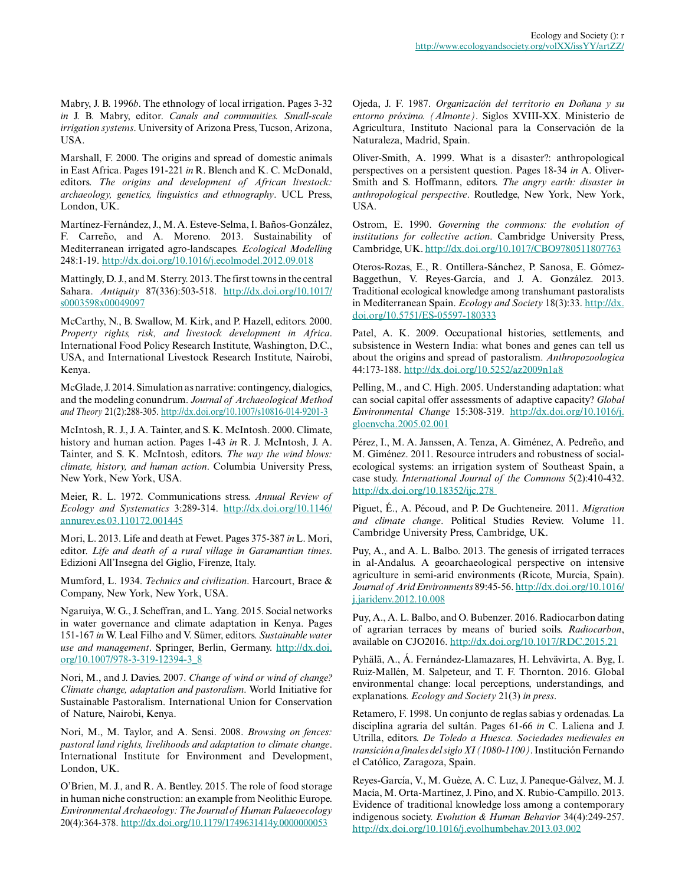Mabry, J. B. 1996*b*. The ethnology of local irrigation. Pages 3-32 *in* J. B. Mabry, editor. *Canals and communities. Small-scale irrigation systems*. University of Arizona Press, Tucson, Arizona, USA.

Marshall, F. 2000. The origins and spread of domestic animals in East Africa. Pages 191-221 *in* R. Blench and K. C. McDonald, editors. *The origins and development of African livestock: archaeology, genetics, linguistics and ethnography*. UCL Press, London, UK.

Martínez-Fernández, J., M. A. Esteve-Selma, I. Baños-González, F. Carreño, and A. Moreno. 2013. Sustainability of Mediterranean irrigated agro-landscapes. *Ecological Modelling* 248:1-19. [http://dx.doi.org/10.1016/j.ecolmodel.2012.09.018](http://dx.doi.org/10.1016%2Fj.ecolmodel.2012.09.018)

Mattingly, D. J., and M. Sterry. 2013. The first towns in the central Sahara. *Antiquity* 87(336):503-518. [http://dx.doi.org/10.1017/](http://dx.doi.org/10.1017%2Fs0003598x00049097) [s0003598x00049097](http://dx.doi.org/10.1017%2Fs0003598x00049097)

McCarthy, N., B. Swallow, M. Kirk, and P. Hazell, editors. 2000. *Property rights, risk, and livestock development in Africa*. International Food Policy Research Institute, Washington, D.C., USA, and International Livestock Research Institute, Nairobi, Kenya.

McGlade, J. 2014. Simulation as narrative: contingency, dialogics, and the modeling conundrum. *Journal of Archaeological Method and Theory* 21(2):288-305. [http://dx.doi.org/10.1007/s10816-014-9201-3](http://dx.doi.org/10.1007%2Fs10816-014-9201-3)

McIntosh, R. J., J. A. Tainter, and S. K. McIntosh. 2000. Climate, history and human action. Pages 1-43 *in* R. J. McIntosh, J. A. Tainter, and S. K. McIntosh, editors. *The way the wind blows: climate, history, and human action*. Columbia University Press, New York, New York, USA.

Meier, R. L. 1972. Communications stress. *Annual Review of Ecology and Systematics* 3:289-314. [http://dx.doi.org/10.1146/](http://dx.doi.org/10.1146%2Fannurev.es.03.110172.001445) [annurev.es.03.110172.001445](http://dx.doi.org/10.1146%2Fannurev.es.03.110172.001445) 

Mori, L. 2013. Life and death at Fewet. Pages 375-387 *in* L. Mori, editor. *Life and death of a rural village in Garamantian times*. Edizioni All'Insegna del Giglio, Firenze, Italy.

Mumford, L. 1934. *Technics and civilization*. Harcourt, Brace & Company, New York, New York, USA.

Ngaruiya, W. G., J. Scheffran, and L. Yang. 2015. Social networks in water governance and climate adaptation in Kenya. Pages 151-167 *in* W. Leal Filho and V. Sümer, editors. *Sustainable water use and management*. Springer, Berlin, Germany. [http://dx.doi.](http://dx.doi.org/10.1007%2F978-3-319-12394-3_8) [org/10.1007/978-3-319-12394-3\\_8](http://dx.doi.org/10.1007%2F978-3-319-12394-3_8) 

Nori, M., and J. Davies. 2007. *Change of wind or wind of change? Climate change, adaptation and pastoralism*. World Initiative for Sustainable Pastoralism. International Union for Conservation of Nature, Nairobi, Kenya.

Nori, M., M. Taylor, and A. Sensi. 2008. *Browsing on fences: pastoral land rights, livelihoods and adaptation to climate change*. International Institute for Environment and Development, London, UK.

O'Brien, M. J., and R. A. Bentley. 2015. The role of food storage in human niche construction: an example from Neolithic Europe. *Environmental Archaeology: The Journal of Human Palaeoecology* 20(4):364-378. [http://dx.doi.org/10.1179/1749631414y.0000000053](http://dx.doi.org/10.1179%2F1749631414y.0000000053) 

Ojeda, J. F. 1987. *Organización del territorio en Doñana y su entorno próximo. (Almonte)*. Siglos XVIII-XX. Ministerio de Agricultura, Instituto Nacional para la Conservación de la Naturaleza, Madrid, Spain.

Oliver-Smith, A. 1999. What is a disaster?: anthropological perspectives on a persistent question. Pages 18-34 *in* A. Oliver-Smith and S. Hoffmann, editors. *The angry earth: disaster in anthropological perspective*. Routledge, New York, New York, USA.

Ostrom, E. 1990. *Governing the commons: the evolution of institutions for collective action*. Cambridge University Press, Cambridge, UK.<http://dx.doi.org/10.1017/CBO9780511807763>

Oteros-Rozas, E., R. Ontillera-Sánchez, P. Sanosa, E. Gómez-Baggethun, V. Reyes-García, and J. A. González. 2013. Traditional ecological knowledge among transhumant pastoralists in Mediterranean Spain. *Ecology and Society* 18(3):33. [http://dx.](http://dx.doi.org/10.5751%2FES-05597-180333) [doi.org/10.5751/ES-05597-180333](http://dx.doi.org/10.5751%2FES-05597-180333)

Patel, A. K. 2009. Occupational histories, settlements, and subsistence in Western India: what bones and genes can tell us about the origins and spread of pastoralism. *Anthropozoologica* 44:173-188. [http://dx.doi.org/10.5252/az2009n1a8](http://dx.doi.org/10.5252%2Faz2009n1a8)

Pelling, M., and C. High. 2005. Understanding adaptation: what can social capital offer assessments of adaptive capacity? *Global Environmental Change* 15:308-319. [http://dx.doi.org/10.1016/j.](http://dx.doi.org/10.1016/j.gloenvcha.2005.02.001) [gloenvcha.2005.02.001](http://dx.doi.org/10.1016/j.gloenvcha.2005.02.001)

Pérez, I., M. A. Janssen, A. Tenza, A. Giménez, A. Pedreño, and M. Giménez. 2011. Resource intruders and robustness of socialecological systems: an irrigation system of Southeast Spain, a case study. *International Journal of the Commons* 5(2):410-432. <http://dx.doi.org/10.18352/ijc.278>

Piguet, É., A. Pécoud, and P. De Guchteneire. 2011. *Migration and climate change*. Political Studies Review. Volume 11. Cambridge University Press, Cambridge, UK.

Puy, A., and A. L. Balbo. 2013. The genesis of irrigated terraces in al-Andalus. A geoarchaeological perspective on intensive agriculture in semi-arid environments (Ricote, Murcia, Spain). *Journal of Arid Environments* 89:45-56. [http://dx.doi.org/10.1016/](http://dx.doi.org/10.1016/j.jaridenv.2012.10.008) [j.jaridenv.2012.10.008](http://dx.doi.org/10.1016/j.jaridenv.2012.10.008) 

Puy, A., A. L. Balbo, and O. Bubenzer. 2016. Radiocarbon dating of agrarian terraces by means of buried soils. *Radiocarbon*, available on CJO2016. [http://dx.doi.org/10.1017/RDC.2015.21](http://dx.doi.org/10.1017%2FRDC.2015.21)

Pyhälä, A., Á. Fernández-Llamazares, H. Lehvävirta, A. Byg, I. Ruiz-Mallén, M. Salpeteur, and T. F. Thornton. 2016. Global environmental change: local perceptions, understandings, and explanations. *Ecology and Society* 21(3) *in press*.

Retamero, F. 1998. Un conjunto de reglas sabias y ordenadas. La disciplina agraria del sultán. Pages 61-66 *in* C. Laliena and J. Utrilla, editors. *De Toledo a Huesca. Sociedades medievales en transición a finales del siglo XI (1080-1100)*. Institución Fernando el Católico, Zaragoza, Spain.

Reyes-García, V., M. Guèze, A. C. Luz, J. Paneque-Gálvez, M. J. Macía, M. Orta-Martínez, J. Pino, and X. Rubio-Campillo. 2013. Evidence of traditional knowledge loss among a contemporary indigenous society. *Evolution & Human Behavior* 34(4):249-257. [http://dx.doi.org/10.1016/j.evolhumbehav.2013.03.002](http://dx.doi.org/10.1016%2Fj.evolhumbehav.2013.03.002)